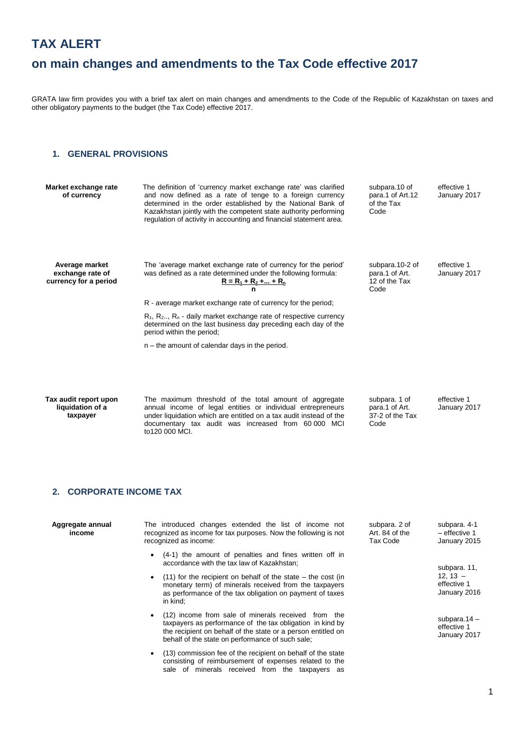# **TAX ALERT**

# **on main changes and amendments to the Tax Code effective 2017**

GRATA law firm provides you with a brief tax alert on main changes and amendments to the Code of the Republic of Kazakhstan on taxes and other obligatory payments to the budget (the Tax Code) effective 2017.

### **1. GENERAL PROVISIONS**

| Market exchange rate<br>of currency                         | The definition of 'currency market exchange rate' was clarified<br>and now defined as a rate of tenge to a foreign currency<br>determined in the order established by the National Bank of<br>Kazakhstan jointly with the competent state authority performing<br>regulation of activity in accounting and financial statement area. | subpara.10 of<br>para.1 of Art.12<br>of the Tax<br>Code    | effective 1<br>January 2017 |
|-------------------------------------------------------------|--------------------------------------------------------------------------------------------------------------------------------------------------------------------------------------------------------------------------------------------------------------------------------------------------------------------------------------|------------------------------------------------------------|-----------------------------|
| Average market<br>exchange rate of<br>currency for a period | The 'average market exchange rate of currency for the period'<br>was defined as a rate determined under the following formula:<br>$R = R_1 + R_2 +  + R_n$<br>n                                                                                                                                                                      | subpara.10-2 of<br>para.1 of Art.<br>12 of the Tax<br>Code | effective 1<br>January 2017 |
|                                                             | R - average market exchange rate of currency for the period;                                                                                                                                                                                                                                                                         |                                                            |                             |
|                                                             | $R_1, R_2, R_n$ - daily market exchange rate of respective currency<br>determined on the last business day preceding each day of the<br>period within the period;                                                                                                                                                                    |                                                            |                             |
|                                                             | $n -$ the amount of calendar days in the period.                                                                                                                                                                                                                                                                                     |                                                            |                             |
|                                                             |                                                                                                                                                                                                                                                                                                                                      |                                                            |                             |
| Tax audit report upon<br>liquidation of a<br>taxpayer       | The maximum threshold of the total amount of aggregate<br>annual income of legal entities or individual entrepreneurs<br>under liquidation which are entitled on a tax audit instead of the<br>documentary tax audit was increased from 60000 MCI<br>to120 000 MCI.                                                                  | subpara. 1 of<br>para.1 of Art.<br>37-2 of the Tax<br>Code | effective 1<br>January 2017 |

## **2. CORPORATE INCOME TAX**

| Aggregate annual<br>income | The introduced changes extended the list of income not<br>subpara. 2 of<br>Art. 84 of the<br>recognized as income for tax purposes. Now the following is not<br>recognized as income:<br>Tax Code                                    | subpara. 4-1<br>$-$ effective 1<br>January 2015 |
|----------------------------|--------------------------------------------------------------------------------------------------------------------------------------------------------------------------------------------------------------------------------------|-------------------------------------------------|
|                            | (4-1) the amount of penalties and fines written off in<br>accordance with the tax law of Kazakhstan;                                                                                                                                 | subpara. 11,                                    |
|                            | $(11)$ for the recipient on behalf of the state – the cost (in<br>monetary term) of minerals received from the taxpayers<br>as performance of the tax obligation on payment of taxes<br>in kind:                                     | $12.13 -$<br>effective 1<br>January 2016        |
|                            | (12) income from sale of minerals received from the<br>taxpayers as performance of the tax obligation in kind by<br>the recipient on behalf of the state or a person entitled on<br>behalf of the state on performance of such sale; | subpara. $14 -$<br>effective 1<br>January 2017  |

 (13) commission fee of the recipient on behalf of the state consisting of reimbursement of expenses related to the sale of minerals received from the taxpayers as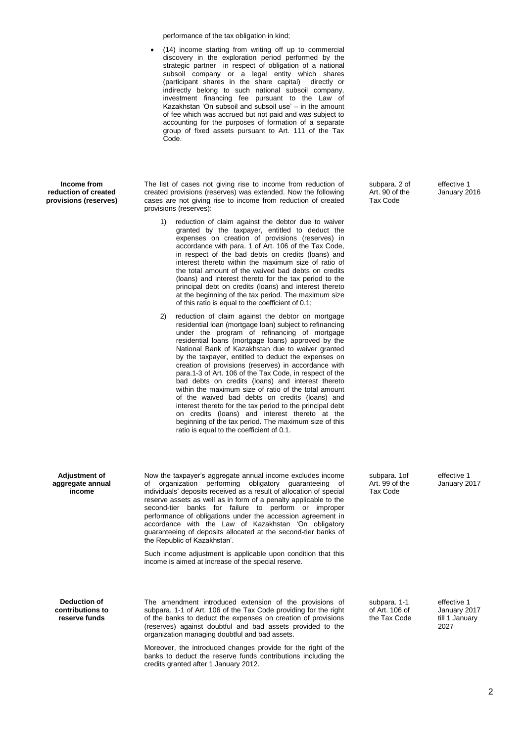performance of the tax obligation in kind;

 (14) income starting from writing off up to commercial discovery in the exploration period performed by the strategic partner in respect of obligation of a national subsoil company or a legal entity which shares (participant shares in the share capital) directly or indirectly belong to such national subsoil company, investment financing fee pursuant to the Law of Kazakhstan 'On subsoil and subsoil use' – in the amount of fee which was accrued but not paid and was subject to accounting for the purposes of formation of a separate group of fixed assets pursuant to Art. 111 of the Tax Code.

**Income from reduction of created provisions (reserves)** The list of cases not giving rise to income from reduction of created provisions (reserves) was extended. Now the following cases are not giving rise to income from reduction of created provisions (reserves):

- 1) reduction of claim against the debtor due to waiver granted by the taxpayer, entitled to deduct the expenses on creation of provisions (reserves) in accordance with para. 1 of Art. 106 of the Tax Code, in respect of the bad debts on credits (loans) and interest thereto within the maximum size of ratio of the total amount of the waived bad debts on credits (loans) and interest thereto for the tax period to the principal debt on credits (loans) and interest thereto at the beginning of the tax period. The maximum size of this ratio is equal to the coefficient of 0.1;
- 2) reduction of claim against the debtor on mortgage residential loan (mortgage loan) subject to refinancing under the program of refinancing of mortgage residential loans (mortgage loans) approved by the National Bank of Kazakhstan due to waiver granted by the taxpayer, entitled to deduct the expenses on creation of provisions (reserves) in accordance with para.1-3 of Art. 106 of the Tax Code, in respect of the bad debts on credits (loans) and interest thereto within the maximum size of ratio of the total amount of the waived bad debts on credits (loans) and interest thereto for the tax period to the principal debt on credits (loans) and interest thereto at the beginning of the tax period. The maximum size of this ratio is equal to the coefficient of 0.1.

subpara. 2 of Art. 90 of the Tax Code

effective 1 January 2016

**Adjustment of aggregate annual income**

Now the taxpayer's aggregate annual income excludes income of organization performing obligatory guaranteeing of individuals' deposits received as a result of allocation of special reserve assets as well as in form of a penalty applicable to the second-tier banks for failure to perform or improper performance of obligations under the accession agreement in accordance with the Law of Kazakhstan 'On obligatory guaranteeing of deposits allocated at the second-tier banks of the Republic of Kazakhstan'.

Such income adjustment is applicable upon condition that this income is aimed at increase of the special reserve.

**Deduction of contributions to reserve funds** 

The amendment introduced extension of the provisions of subpara. 1-1 of Art. 106 of the Tax Code providing for the right of the banks to deduct the expenses on creation of provisions (reserves) against doubtful and bad assets provided to the organization managing doubtful and bad assets.

Moreover, the introduced changes provide for the right of the banks to deduct the reserve funds contributions including the credits granted after 1 January 2012.

subpara. 1of Art. 99 of the Tax Code

subpara. 1-1 of Art. 106 of the Tax Code effective 1 January 2017

effective 1 January 2017 till 1 January 2027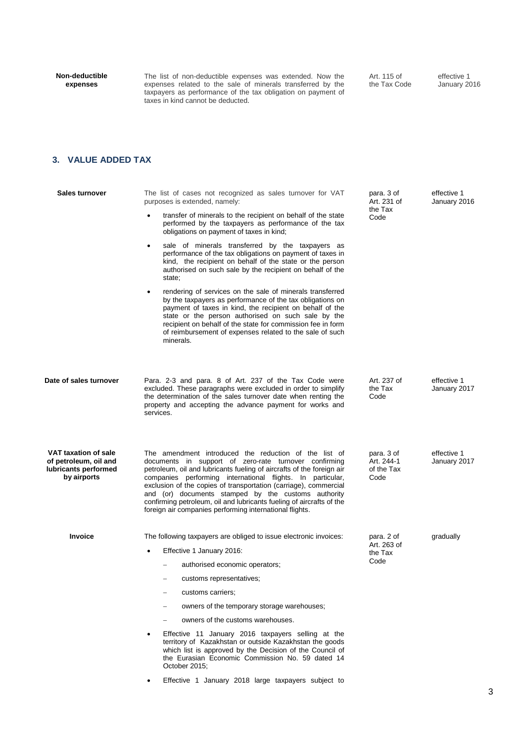**Non-deductible expenses**

The list of non-deductible expenses was extended. Now the expenses related to the sale of minerals transferred by the taxpayers as performance of the tax obligation on payment of taxes in kind cannot be deducted.

Art. 115 of the Tax Code

effective 1 January 2016

# **3. VALUE ADDED TAX**

| <b>Sales turnover</b>                                                                | The list of cases not recognized as sales turnover for VAT<br>purposes is extended, namely:                                                                                                                                                                                                                                                                                                                                                                                                                         | para. 3 of<br>Art. 231 of                      | effective 1<br>January 2016 |
|--------------------------------------------------------------------------------------|---------------------------------------------------------------------------------------------------------------------------------------------------------------------------------------------------------------------------------------------------------------------------------------------------------------------------------------------------------------------------------------------------------------------------------------------------------------------------------------------------------------------|------------------------------------------------|-----------------------------|
|                                                                                      | transfer of minerals to the recipient on behalf of the state<br>performed by the taxpayers as performance of the tax<br>obligations on payment of taxes in kind;                                                                                                                                                                                                                                                                                                                                                    | the Tax<br>Code                                |                             |
|                                                                                      | sale of minerals transferred by the taxpayers as<br>$\bullet$<br>performance of the tax obligations on payment of taxes in<br>kind, the recipient on behalf of the state or the person<br>authorised on such sale by the recipient on behalf of the<br>state:                                                                                                                                                                                                                                                       |                                                |                             |
|                                                                                      | rendering of services on the sale of minerals transferred<br>$\bullet$<br>by the taxpayers as performance of the tax obligations on<br>payment of taxes in kind, the recipient on behalf of the<br>state or the person authorised on such sale by the<br>recipient on behalf of the state for commission fee in form<br>of reimbursement of expenses related to the sale of such<br>minerals.                                                                                                                       |                                                |                             |
| Date of sales turnover                                                               | Para. 2-3 and para. 8 of Art. 237 of the Tax Code were<br>excluded. These paragraphs were excluded in order to simplify<br>the determination of the sales turnover date when renting the<br>property and accepting the advance payment for works and<br>services.                                                                                                                                                                                                                                                   | Art. 237 of<br>the Tax<br>Code                 | effective 1<br>January 2017 |
| VAT taxation of sale<br>of petroleum, oil and<br>lubricants performed<br>by airports | The amendment introduced the reduction of the list of<br>documents in support of zero-rate turnover confirming<br>petroleum, oil and lubricants fueling of aircrafts of the foreign air<br>companies performing international flights. In particular,<br>exclusion of the copies of transportation (carriage), commercial<br>and (or) documents stamped by the customs authority<br>confirming petroleum, oil and lubricants fueling of aircrafts of the<br>foreign air companies performing international flights. | para. 3 of<br>Art. 244-1<br>of the Tax<br>Code | effective 1<br>January 2017 |
| <b>Invoice</b>                                                                       | The following taxpayers are obliged to issue electronic invoices:                                                                                                                                                                                                                                                                                                                                                                                                                                                   | para. 2 of<br>Art. 263 of<br>the Tax<br>Code   | gradually                   |
|                                                                                      | Effective 1 January 2016:<br>$\bullet$                                                                                                                                                                                                                                                                                                                                                                                                                                                                              |                                                |                             |
|                                                                                      | authorised economic operators;                                                                                                                                                                                                                                                                                                                                                                                                                                                                                      |                                                |                             |
|                                                                                      | customs representatives;<br>-                                                                                                                                                                                                                                                                                                                                                                                                                                                                                       |                                                |                             |
|                                                                                      | customs carriers;                                                                                                                                                                                                                                                                                                                                                                                                                                                                                                   |                                                |                             |
|                                                                                      | owners of the temporary storage warehouses;                                                                                                                                                                                                                                                                                                                                                                                                                                                                         |                                                |                             |
|                                                                                      | owners of the customs warehouses.                                                                                                                                                                                                                                                                                                                                                                                                                                                                                   |                                                |                             |
|                                                                                      | Effective 11 January 2016 taxpayers selling at the<br>territory of Kazakhstan or outside Kazakhstan the goods<br>which list is approved by the Decision of the Council of<br>the Eurasian Economic Commission No. 59 dated 14<br>October 2015;                                                                                                                                                                                                                                                                      |                                                |                             |

Effective 1 January 2018 large taxpayers subject to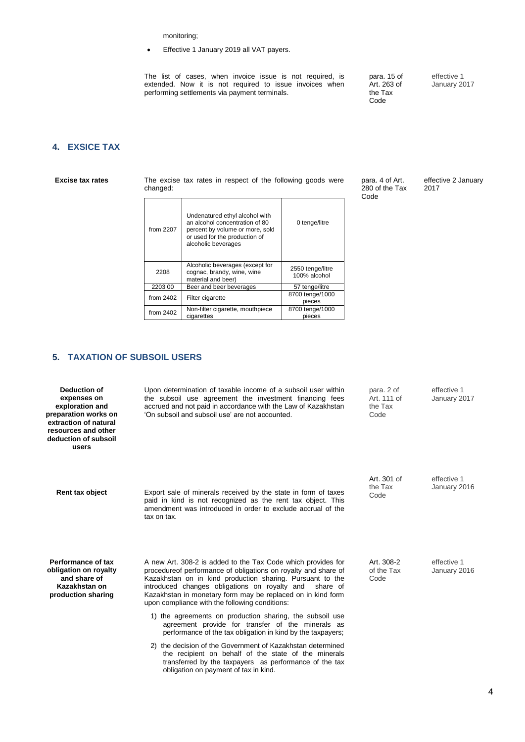monitoring;

Effective 1 January 2019 all VAT payers.

The list of cases, when invoice issue is not required, is extended. Now it is not required to issue invoices when performing settlements via payment terminals.

para. 15 of Art. 263 of the Tax Code

effective 1 January 2017

## **4. EXSICE TAX**

**Excise tax rates** The excise tax rates in respect of the following goods were changed:

| from $2207$ | Undenatured ethyl alcohol with<br>an alcohol concentration of 80<br>percent by volume or more, sold<br>or used for the production of<br>alcoholic beverages | 0 tenge/litre                    |
|-------------|-------------------------------------------------------------------------------------------------------------------------------------------------------------|----------------------------------|
| 2208        | Alcoholic beverages (except for<br>cognac, brandy, wine, wine<br>material and beer)                                                                         | 2550 tenge/litre<br>100% alcohol |
| 2203 00     | Beer and beer beverages                                                                                                                                     | 57 tenge/litre                   |
| from $2402$ | Filter cigarette                                                                                                                                            | 8700 tenge/1000<br>pieces        |
| from $2402$ | Non-filter cigarette, mouthpiece<br>cigarettes                                                                                                              | 8700 tenge/1000<br>pieces        |

#### para. 4 of Art. 280 of the Tax Code

effective 2 January 2017

# **5. TAXATION OF SUBSOIL USERS**

| <b>Deduction of</b><br>expenses on<br>exploration and<br>preparation works on<br>extraction of natural<br>resources and other<br>deduction of subsoil<br>users | Upon determination of taxable income of a subsoil user within<br>the subsoil use agreement the investment financing fees<br>accrued and not paid in accordance with the Law of Kazakhstan<br>'On subsoil and subsoil use' are not accounted.                                                                                                                               | para. 2 of<br>Art. 111 of<br>the Tax<br>Code | effective 1<br>January 2017 |
|----------------------------------------------------------------------------------------------------------------------------------------------------------------|----------------------------------------------------------------------------------------------------------------------------------------------------------------------------------------------------------------------------------------------------------------------------------------------------------------------------------------------------------------------------|----------------------------------------------|-----------------------------|
| Rent tax object                                                                                                                                                | Export sale of minerals received by the state in form of taxes<br>paid in kind is not recognized as the rent tax object. This<br>amendment was introduced in order to exclude accrual of the<br>tax on tax.                                                                                                                                                                | Art. 301 of<br>the Tax<br>Code               | effective 1<br>January 2016 |
| Performance of tax<br>obligation on royalty<br>and share of<br>Kazakhstan on<br>production sharing                                                             | A new Art. 308-2 is added to the Tax Code which provides for<br>procedure of performance of obligations on royalty and share of<br>Kazakhstan on in kind production sharing. Pursuant to the<br>introduced changes obligations on royalty and<br>share of<br>Kazakhstan in monetary form may be replaced on in kind form<br>upon compliance with the following conditions: | Art. 308-2<br>of the Tax<br>Code             | effective 1<br>January 2016 |
|                                                                                                                                                                | 1) the agreements on production sharing, the subsoil use<br>agreement provide for transfer of the minerals as<br>performance of the tax obligation in kind by the taxpayers;                                                                                                                                                                                               |                                              |                             |
|                                                                                                                                                                | 2) the decision of the Government of Kazakhstan determined<br>the recipient on behalf of the state of the minerals<br>transferred by the taxpayers as performance of the tax<br>obligation on payment of tax in kind.                                                                                                                                                      |                                              |                             |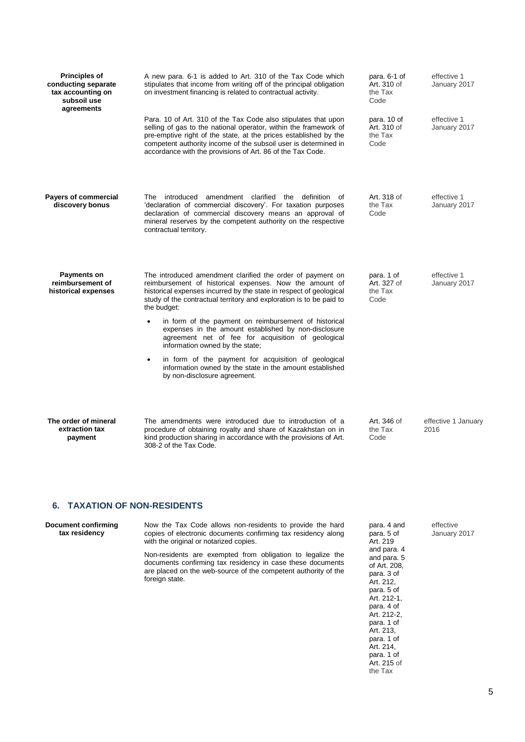| <b>Principles of</b><br>conducting separate<br>tax accounting on<br>subsoil use<br>agreements | A new para. 6-1 is added to Art. 310 of the Tax Code which<br>stipulates that income from writing off of the principal obligation<br>on investment financing is related to contractual activity.                                                                                                                                                                                                                                                                                                                                                                                                                                                             | para. 6-1 of<br>Art. 310 of<br>the Tax<br>Code | effective 1<br>January 2017 |
|-----------------------------------------------------------------------------------------------|--------------------------------------------------------------------------------------------------------------------------------------------------------------------------------------------------------------------------------------------------------------------------------------------------------------------------------------------------------------------------------------------------------------------------------------------------------------------------------------------------------------------------------------------------------------------------------------------------------------------------------------------------------------|------------------------------------------------|-----------------------------|
|                                                                                               | Para. 10 of Art. 310 of the Tax Code also stipulates that upon<br>selling of gas to the national operator, within the framework of<br>pre-emptive right of the state, at the prices established by the<br>competent authority income of the subsoil user is determined in<br>accordance with the provisions of Art. 86 of the Tax Code.                                                                                                                                                                                                                                                                                                                      | para. 10 of<br>Art. 310 of<br>the Tax<br>Code  | effective 1<br>January 2017 |
| <b>Payers of commercial</b><br>discovery bonus                                                | The introduced amendment clarified the definition of<br>'declaration of commercial discovery'. For taxation purposes<br>declaration of commercial discovery means an approval of<br>mineral reserves by the competent authority on the respective<br>contractual territory.                                                                                                                                                                                                                                                                                                                                                                                  | Art. 318 of<br>the Tax<br>Code                 | effective 1<br>January 2017 |
| Payments on<br>reimbursement of<br>historical expenses                                        | The introduced amendment clarified the order of payment on<br>reimbursement of historical expenses. Now the amount of<br>historical expenses incurred by the state in respect of geological<br>study of the contractual territory and exploration is to be paid to<br>the budget:<br>in form of the payment on reimbursement of historical<br>expenses in the amount established by non-disclosure<br>agreement net of fee for acquisition of geological<br>information owned by the state;<br>in form of the payment for acquisition of geological<br>$\bullet$<br>information owned by the state in the amount established<br>by non-disclosure agreement. | para. 1 of<br>Art. 327 of<br>the Tax<br>Code   | effective 1<br>January 2017 |
| The order of mineral<br>extraction tax<br>payment                                             | The amendments were introduced due to introduction of a<br>procedure of obtaining royalty and share of Kazakhstan on in<br>kind production sharing in accordance with the provisions of Art.<br>308-2 of the Tax Code.                                                                                                                                                                                                                                                                                                                                                                                                                                       | Art. 346 of<br>the Tax<br>Code                 | effective 1 January<br>2016 |

### **6. TAXATION OF NON-RESIDENTS**

**Document confirming tax residency**

Now the Tax Code allows non-residents to provide the hard copies of electronic documents confirming tax residency along with the original or notarized copies.

Non-residents are exempted from obligation to legalize the documents confirming tax residency in case these documents are placed on the web-source of the competent authority of the foreign state.

para. 4 and para. 5 of Art. 219 and para. 4 and para. 5 of Art. 208, para. 3 of .<br>Art. 212, para. 5 of Art. 212-1, para. 4 of Art. 212-2, para. 1 of Art. 213, para. 1 of Art. 214, para. 1 of Art. 215 of the Tax

#### effective January 2017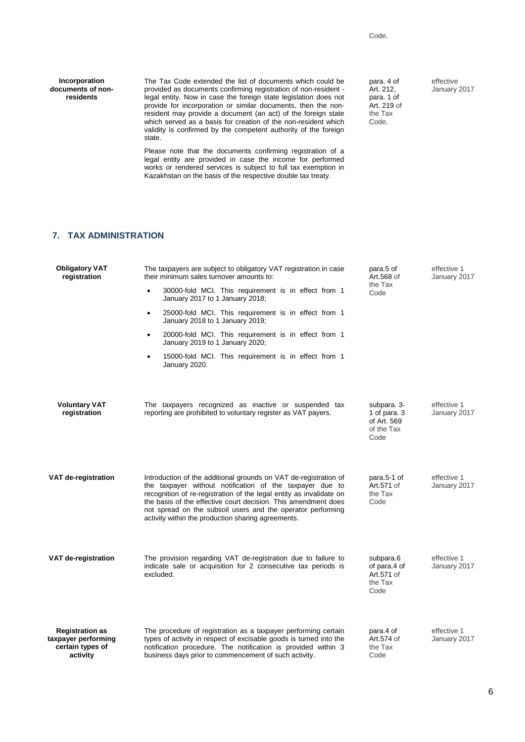**Incorporation documents of nonresidents**

The Tax Code extended the list of documents which could be provided as documents confirming registration of non-resident legal entity. Now in case the foreign state legislation does not provide for incorporation or similar documents, then the nonresident may provide a document (an act) of the foreign state which served as a basis for creation of the non-resident which validity is confirmed by the competent authority of the foreign state.

Please note that the documents confirming registration of a legal entity are provided in case the income for performed works or rendered services is subject to full tax exemption in Kazakhstan on the basis of the respective double tax treaty.

para. 4 of .<br>Art. 212, para. 1 of Art. 219 of the Tax Code.

effective January 2017

### **7. TAX ADMINISTRATION**

| <b>Obligatory VAT</b><br>registration                                         | The taxpayers are subject to obligatory VAT registration in case<br>their minimum sales turnover amounts to:                                                                                                                                                                                                                                                                               | para.5 of<br>Art.568 of                                          | effective 1<br>January 2017 |
|-------------------------------------------------------------------------------|--------------------------------------------------------------------------------------------------------------------------------------------------------------------------------------------------------------------------------------------------------------------------------------------------------------------------------------------------------------------------------------------|------------------------------------------------------------------|-----------------------------|
|                                                                               | 30000-fold MCI. This requirement is in effect from 1<br>$\bullet$<br>January 2017 to 1 January 2018;                                                                                                                                                                                                                                                                                       | the Tax<br>Code                                                  |                             |
|                                                                               | 25000-fold MCI. This requirement is in effect from 1<br>٠<br>January 2018 to 1 January 2019;                                                                                                                                                                                                                                                                                               |                                                                  |                             |
|                                                                               | 20000-fold MCI. This requirement is in effect from 1<br>٠<br>January 2019 to 1 January 2020;                                                                                                                                                                                                                                                                                               |                                                                  |                             |
|                                                                               | 15000-fold MCI. This requirement is in effect from 1<br>٠<br>January 2020.                                                                                                                                                                                                                                                                                                                 |                                                                  |                             |
|                                                                               |                                                                                                                                                                                                                                                                                                                                                                                            |                                                                  |                             |
| <b>Voluntary VAT</b><br>registration                                          | The taxpayers recognized as inactive or suspended tax<br>reporting are prohibited to voluntary register as VAT payers.                                                                                                                                                                                                                                                                     | subpara. 3-<br>1 of para, 3<br>of Art. 569<br>of the Tax<br>Code | effective 1<br>January 2017 |
| VAT de-registration                                                           | Introduction of the additional grounds on VAT de-registration of<br>the taxpayer without notification of the taxpayer due to<br>recognition of re-registration of the legal entity as invalidate on<br>the basis of the effective court decision. This amendment does<br>not spread on the subsoil users and the operator performing<br>activity within the production sharing agreements. | para.5-1 of<br>Art.571 of<br>the Tax<br>Code                     | effective 1<br>January 2017 |
| <b>VAT de-registration</b>                                                    | The provision regarding VAT de-registration due to failure to<br>indicate sale or acquisition for 2 consecutive tax periods is<br>excluded.                                                                                                                                                                                                                                                | subpara.6<br>of para.4 of<br>Art.571 of<br>the Tax<br>Code       | effective 1<br>January 2017 |
| <b>Registration as</b><br>taxpayer performing<br>certain types of<br>activity | The procedure of registration as a taxpayer performing certain<br>types of activity in respect of excisable goods is turned into the<br>notification procedure. The notification is provided within 3<br>business days prior to commencement of such activity.                                                                                                                             | para.4 of<br>Art.574 of<br>the Tax<br>Code                       | effective 1<br>January 2017 |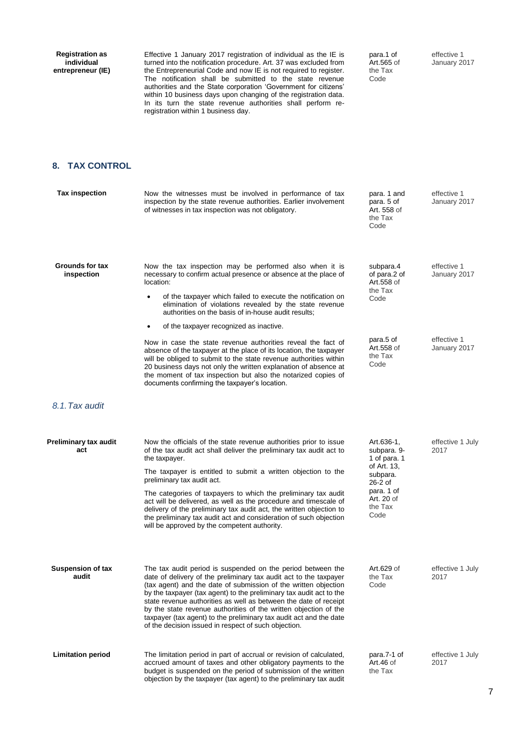**Registration as individual entrepreneur (IE)**

Effective 1 January 2017 registration of individual as the IE is turned into the notification procedure. Art. 37 was excluded from the Entrepreneurial Code and now IE is not required to register. The notification shall be submitted to the state revenue authorities and the State corporation 'Government for citizens' within 10 business days upon changing of the registration data. In its turn the state revenue authorities shall perform reregistration within 1 business day.

para.1 of Art.565 of the Tax Code

effective 1 January 2017

## **8. TAX CONTROL**

| <b>Tax inspection</b>                | Now the witnesses must be involved in performance of tax<br>inspection by the state revenue authorities. Earlier involvement<br>of witnesses in tax inspection was not obligatory.                                                                                                                                                                                                                                                                                                                                                                                                         | para. 1 and<br>para. 5 of<br>Art. 558 of<br>the Tax<br>Code                                                                      | effective 1<br>January 2017 |
|--------------------------------------|--------------------------------------------------------------------------------------------------------------------------------------------------------------------------------------------------------------------------------------------------------------------------------------------------------------------------------------------------------------------------------------------------------------------------------------------------------------------------------------------------------------------------------------------------------------------------------------------|----------------------------------------------------------------------------------------------------------------------------------|-----------------------------|
| <b>Grounds for tax</b><br>inspection | Now the tax inspection may be performed also when it is<br>necessary to confirm actual presence or absence at the place of<br>location:<br>of the taxpayer which failed to execute the notification on<br>٠<br>elimination of violations revealed by the state revenue<br>authorities on the basis of in-house audit results;                                                                                                                                                                                                                                                              | subpara.4<br>of para.2 of<br>Art.558 of<br>the Tax<br>Code                                                                       | effective 1<br>January 2017 |
|                                      | of the taxpayer recognized as inactive.                                                                                                                                                                                                                                                                                                                                                                                                                                                                                                                                                    |                                                                                                                                  |                             |
|                                      | Now in case the state revenue authorities reveal the fact of<br>absence of the taxpayer at the place of its location, the taxpayer<br>will be obliged to submit to the state revenue authorities within<br>20 business days not only the written explanation of absence at<br>the moment of tax inspection but also the notarized copies of<br>documents confirming the taxpayer's location.                                                                                                                                                                                               | para.5 of<br>Art.558 of<br>the Tax<br>Code                                                                                       | effective 1<br>January 2017 |
| 8.1. Tax audit                       |                                                                                                                                                                                                                                                                                                                                                                                                                                                                                                                                                                                            |                                                                                                                                  |                             |
| Preliminary tax audit<br>act         | Now the officials of the state revenue authorities prior to issue<br>of the tax audit act shall deliver the preliminary tax audit act to<br>the taxpayer.<br>The taxpayer is entitled to submit a written objection to the<br>preliminary tax audit act.<br>The categories of taxpayers to which the preliminary tax audit<br>act will be delivered, as well as the procedure and timescale of<br>delivery of the preliminary tax audit act, the written objection to<br>the preliminary tax audit act and consideration of such objection<br>will be approved by the competent authority. | Art.636-1,<br>subpara. 9-<br>1 of para. 1<br>of Art. 13,<br>subpara.<br>$26-2$ of<br>para. 1 of<br>Art. 20 of<br>the Tax<br>Code | effective 1 July<br>2017    |
| <b>Suspension of tax</b><br>audit    | The tax audit period is suspended on the period between the<br>date of delivery of the preliminary tax audit act to the taxpayer<br>(tax agent) and the date of submission of the written objection<br>by the taxpayer (tax agent) to the preliminary tax audit act to the<br>state revenue authorities as well as between the date of receipt<br>by the state revenue authorities of the written objection of the<br>taxpayer (tax agent) to the preliminary tax audit act and the date<br>of the decision issued in respect of such objection.                                           | Art.629 of<br>the Tax<br>Code                                                                                                    | effective 1 July<br>2017    |
| <b>Limitation period</b>             | The limitation period in part of accrual or revision of calculated,<br>accrued amount of taxes and other obligatory payments to the<br>budget is suspended on the period of submission of the written<br>objection by the taxpayer (tax agent) to the preliminary tax audit                                                                                                                                                                                                                                                                                                                | para.7-1 of<br>Art. $46$ of<br>the Tax                                                                                           | effective 1 July<br>2017    |